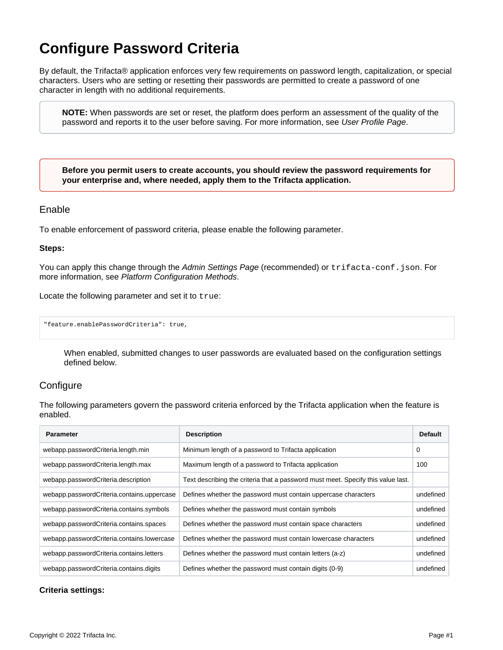# **Configure Password Criteria**

By default, the Trifacta® application enforces very few requirements on password length, capitalization, or special characters. Users who are setting or resetting their passwords are permitted to create a password of one character in length with no additional requirements.

**NOTE:** When passwords are set or reset, the platform does perform an assessment of the quality of the password and reports it to the user before saving. For more information, see [User Profile Page](https://docs.trifacta.com/display/r087/User+Profile+Page).

**Before you permit users to create accounts, you should review the password requirements for your enterprise and, where needed, apply them to the Trifacta application.**

### Enable

To enable enforcement of password criteria, please enable the following parameter.

#### **Steps:**

You can apply this change through the [Admin Settings Page](https://docs.trifacta.com/display/r087/Admin+Settings+Page) (recommended) or trifacta-conf.json. For more information, see [Platform Configuration Methods](https://docs.trifacta.com/display/r087/Platform+Configuration+Methods).

Locate the following parameter and set it to true:

"feature.enablePasswordCriteria": true,

When enabled, submitted changes to user passwords are evaluated based on the configuration settings defined below.

## **Configure**

The following parameters govern the password criteria enforced by the Trifacta application when the feature is enabled.

| <b>Parameter</b>                           | <b>Description</b>                                                               | <b>Default</b> |
|--------------------------------------------|----------------------------------------------------------------------------------|----------------|
| webapp.passwordCriteria.length.min         | Minimum length of a password to Trifacta application                             | 0              |
| webapp.passwordCriteria.length.max         | Maximum length of a password to Trifacta application                             | 100            |
| webapp.passwordCriteria.description        | Text describing the criteria that a password must meet. Specify this value last. |                |
| webapp.passwordCriteria.contains.uppercase | Defines whether the password must contain uppercase characters                   | undefined      |
| webapp.passwordCriteria.contains.symbols   | Defines whether the password must contain symbols                                | undefined      |
| webapp.passwordCriteria.contains.spaces    | Defines whether the password must contain space characters                       | undefined      |
| webapp.passwordCriteria.contains.lowercase | Defines whether the password must contain lowercase characters                   | undefined      |
| webapp.passwordCriteria.contains.letters   | Defines whether the password must contain letters (a-z)                          | undefined      |
| webapp.passwordCriteria.contains.digits    | Defines whether the password must contain digits (0-9)                           | undefined      |

#### **Criteria settings:**